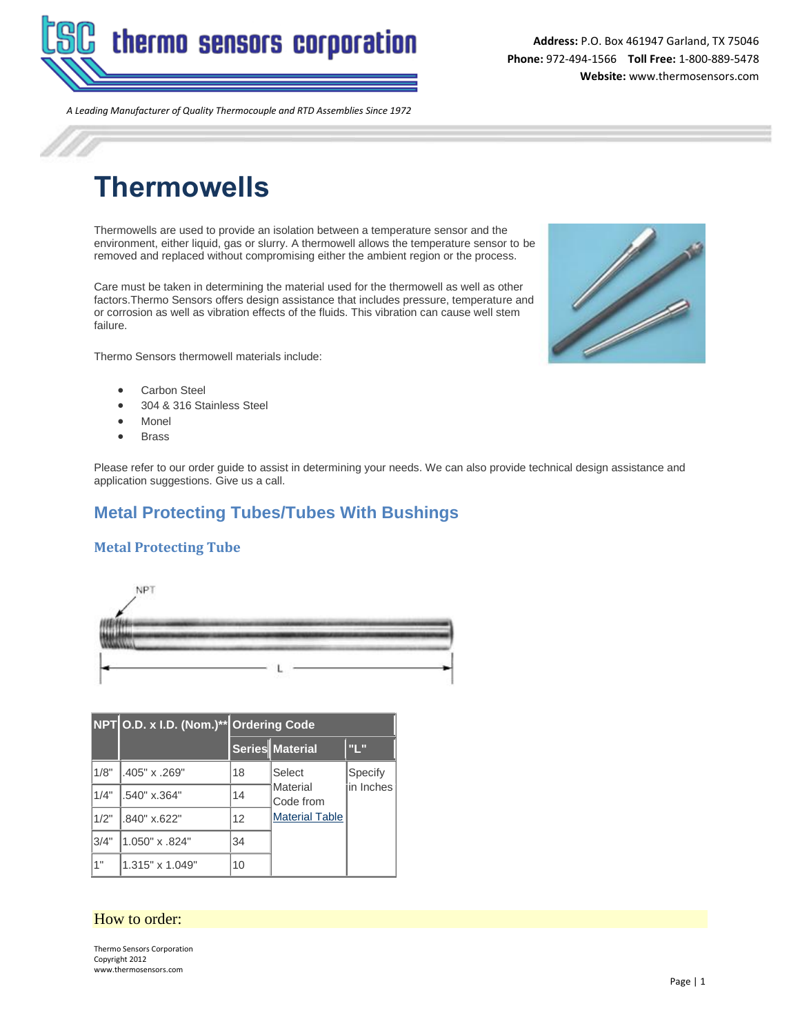

**Address:** P.O. Box 461947 Garland, TX 75046 **Phone:** 972-494-1566 **Toll Free:** 1-800-889-5478 **Website:** www.thermosensors.com

*A Leading Manufacturer of Quality Thermocouple and RTD Assemblies Since 1972*

# **Thermowells**

Thermowells are used to provide an isolation between a temperature sensor and the environment, either liquid, gas or slurry. A thermowell allows the temperature sensor to be removed and replaced without compromising either the ambient region or the process.

Care must be taken in determining the material used for the thermowell as well as other factors.Thermo Sensors offers design assistance that includes pressure, temperature and or corrosion as well as vibration effects of the fluids. This vibration can cause well stem failure.

Thermo Sensors thermowell materials include:



- Carbon Steel
- 304 & 316 Stainless Steel
- Monel
- Brass

Please refer to our order guide to assist in determining your needs. We can also provide technical design assistance and application suggestions. Give us a call.

## **Metal Protecting Tubes/Tubes With Bushings**

## **Metal Protecting Tube**



|      | NPT O.D. x I.D. (Nom.)** Ordering Code |    |                       |                      |  |  |  |
|------|----------------------------------------|----|-----------------------|----------------------|--|--|--|
|      |                                        |    | Series Material       | "L"                  |  |  |  |
| 1/8" | .405" x .269"                          | 18 | Select                | Specify<br>in Inches |  |  |  |
| 1/4" | 1.540" x.364"                          | 14 | Material<br>Code from |                      |  |  |  |
| 1/2" | .840" x.622"                           | 12 | <b>Material Table</b> |                      |  |  |  |
| 3/4" | 1.050" x .824"                         | 34 |                       |                      |  |  |  |
| 1"   | 1.315" x 1.049"                        | 10 |                       |                      |  |  |  |

## How to order:

Thermo Sensors Corporation Copyright 2012 www.thermosensors.com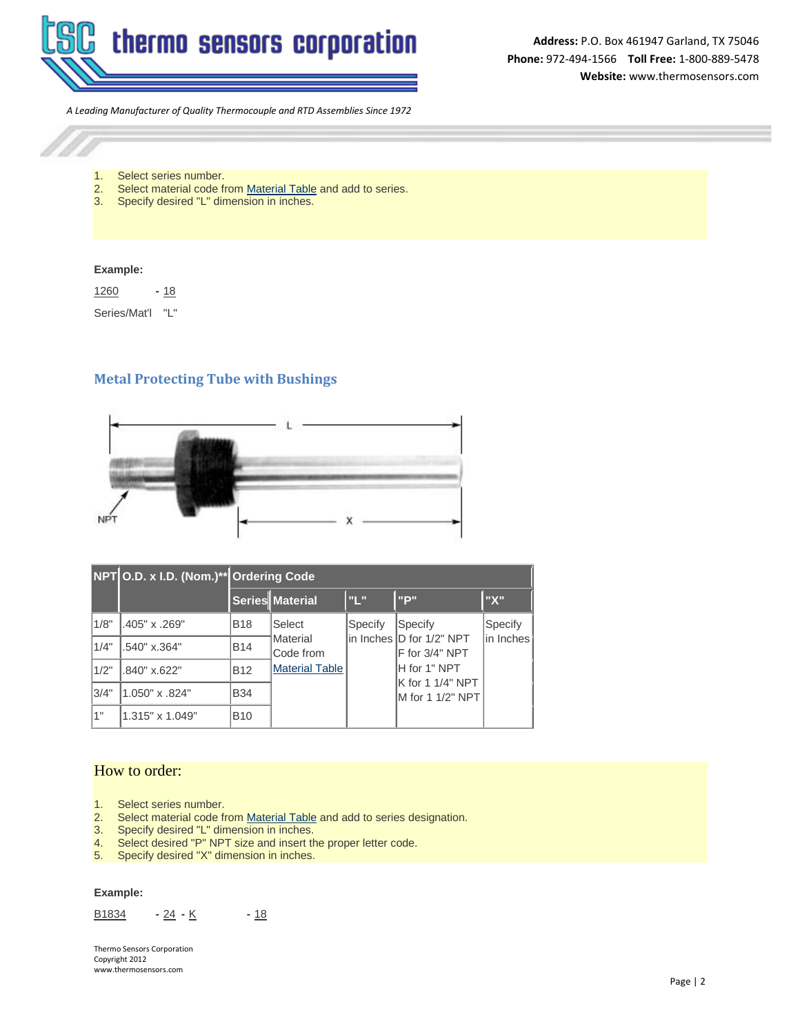

*A Leading Manufacturer of Quality Thermocouple and RTD Assemblies Since 1972*



1. Select series number.

- 2. Select material code fro[m Material Table](http://thermosensors.com/thermowells/ordering_codes.htm) and add to series.
- 3. Specify desired "L" dimension in inches.

#### **Example:**

1260 **-** 18

Series/Mat'l "L"

## **Metal Protecting Tube with Bushings**



|      | NPT O.D. x I.D. (Nom.)** Ordering Code |            |                                                          |         |                                            |                      |  |
|------|----------------------------------------|------------|----------------------------------------------------------|---------|--------------------------------------------|----------------------|--|
|      |                                        |            | Series Material                                          | l'II.   | "P"                                        | "X"                  |  |
| 1/8" | .405" x .269"                          | <b>B18</b> | Select<br>Material<br>Code from<br><b>Material Table</b> | Specify | Specify                                    | Specify<br>in Inches |  |
| 1/4" | .540" x.364"                           | <b>B14</b> |                                                          |         | in Inches D for 1/2" NPT<br>F for 3/4" NPT |                      |  |
| 1/2" | .840" x.622"                           | <b>B12</b> |                                                          |         | H for 1" NPT                               |                      |  |
| 3/4" | 1.050" x .824"                         | <b>B34</b> |                                                          |         | K for 1 1/4" NPT<br>IM for 1 1/2" NPT      |                      |  |
| 1"   | 1.315" x 1.049"                        | <b>B10</b> |                                                          |         |                                            |                      |  |

## How to order:

- 1. Select series number.<br>2. Select material code fr
- Select material code fro[m Material Table](http://thermosensors.com/thermowells/ordering_codes.htm) and add to series designation.
- 3. Specify desired "L" dimension in inches.<br>4. Select desired "P" NPT size and insert the
- Select desired "P" NPT size and insert the proper letter code.
- 5. Specify desired "X" dimension in inches.

#### **Example:**

B1834 **-** 24 **-** K **-** 18

Thermo Sensors Corporation Copyright 2012 www.thermosensors.com